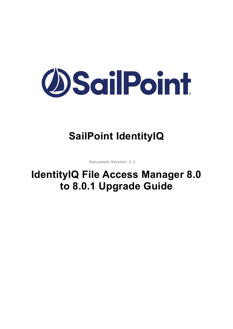

# **SailPoint IdentityIQ**

Document Version: 1.1

# **IdentityIQ File Access Manager 8.0 to 8.0.1 Upgrade Guide**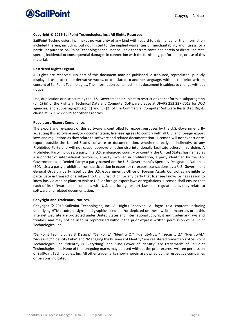

#### **Copyright © 2019 SailPoint Technologies, Inc., All Rights Reserved.**

SailPoint Technologies, Inc. makes no warranty of any kind with regard to this manual or the information included therein, including, but not limited to, the implied warranties of merchantability and fitness for a particular purpose. SailPoint Technologies shall not be liable for errors contained herein or direct, indirect, special, incidental or consequential damages in connection with the furnishing, performance, or use of this material.

#### **Restricted Rights Legend.**

All rights are reserved. No part of this document may be published, distributed, reproduced, publicly displayed, used to create derivative works, or translated to another language, without the prior written consent of SailPoint Technologies. The information contained in this document is subject to change without notice.

Use, duplication or disclosure by the U.S. Government is subject to restrictions as set forth in subparagraph (c) (1) (ii) of the Rights in Technical Data and Computer Software clause at DFARS 252.227-7013 for DOD agencies, and subparagraphs (c) (1) and (c) (2) of the Commercial Computer Software Restricted Rights clause at FAR 52.227-19 for other agencies.

#### **Regulatory/Export Compliance.**

The export and re-export of this software is controlled for export purposes by the U.S. Government. By accepting this software and/or documentation, licensee agrees to comply with all U.S. and foreign export laws and regulations as they relate to software and related documentation. Licensee will not export or reexport outside the United States software or documentation, whether directly or indirectly, to any Prohibited Party and will not cause, approve or otherwise intentionally facilitate others in so doing. A Prohibited Party includes: a party in a U.S. embargoed country or country the United States has named as a supporter of international terrorism; a party involved in proliferation; a party identified by the U.S. Government as a Denied Party; a party named on the U.S. Government's Specially Designated Nationals (SDN) List; a party prohibited from participation in export or re-export transactions by a U.S. Government General Order; a party listed by the U.S. Government's Office of Foreign Assets Control as ineligible to participate in transactions subject to U.S. jurisdiction; or any party that licensee knows or has reason to know has violated or plans to violate U.S. or foreign export laws or regulations. Licensee shall ensure that each of its software users complies with U.S. and foreign export laws and regulations as they relate to software and related documentation.

#### **Copyright and Trademark Notices.**

Copyright © 2019 SailPoint Technologies, Inc. All Rights Reserved. All logos, text, content, including underlying HTML code, designs, and graphics used and/or depicted on these written materials or in this Internet web site are protected under United States and international copyright and trademark laws and treaties, and may not be used or reproduced without the prior express written permission of SailPoint Technologies, Inc.

"SailPoint Technologies & Design," "SailPoint," "IdentityIQ," "IdentityNow," "SecurityIQ," "IdentityAI," "AccessIQ," "Identity Cube" and "Managing the Business of Identity" are registered trademarks of SailPoint Technologies, Inc. "Identity is Everything" and "The Power of Identity" are trademarks of SailPoint Technologies, Inc. None of the foregoing marks may be used without the prior express written permission of SailPoint Technologies, Inc. All other trademarks shown herein are owned by the respective companies or persons indicated.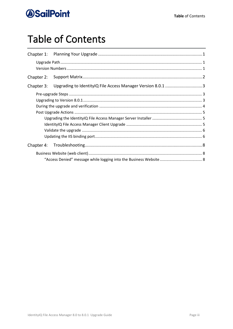# **Table of Contents**

| Chapter 1: |                                                             |  |
|------------|-------------------------------------------------------------|--|
|            |                                                             |  |
| Chapter 2: |                                                             |  |
| Chapter 3: | Upgrading to IdentityIQ File Access Manager Version 8.0.1 3 |  |
|            |                                                             |  |
|            |                                                             |  |
|            |                                                             |  |
|            |                                                             |  |
| Chapter 4: |                                                             |  |
|            |                                                             |  |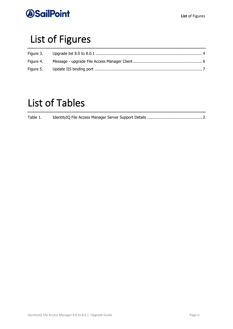

# List of Figures

| Figure 4. |  |
|-----------|--|
|           |  |

# List of Tables

| Table 1. |  |  |  |
|----------|--|--|--|
|          |  |  |  |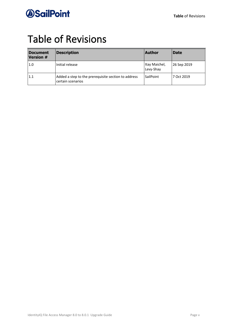# Table of Revisions

| <b>Document</b><br><b>Version #</b> | <b>Description</b>                                                       | <b>Author</b>              | <b>Date</b> |
|-------------------------------------|--------------------------------------------------------------------------|----------------------------|-------------|
| 1.0                                 | Initial release                                                          | Itay Maichel,<br>Levy-Shay | 26 Sep 2019 |
| 11.1                                | Added a step to the prerequisite section to address<br>certain scenarios | <b>SailPoint</b>           | 7 Oct 2019  |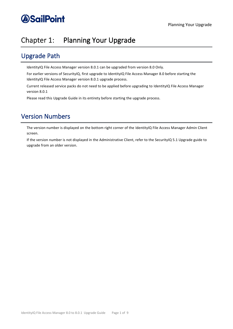## <span id="page-5-0"></span>Chapter 1: Planning Your Upgrade

### <span id="page-5-1"></span>Upgrade Path

IdentityIQ File Access Manager version 8.0.1 can be upgraded from version 8.0 Only.

For earlier versions of SecurityIQ, first upgrade to IdentityIQ File Access Manager 8.0 before starting the IdentityIQ File Access Manager version 8.0.1 upgrade process.

Current released service packs do not need to be applied before upgrading to IdentityIQ File Access Manager version 8.0.1

Please read this Upgrade Guide in its entirety before starting the upgrade process.

## <span id="page-5-2"></span>Version Numbers

The version number is displayed on the bottom right corner of the IdentityIQ File Access Manager Admin Client screen.

If the version number is not displayed in the Administrative Client, refer to the SecurityIQ 5.1 Upgrade guide to upgrade from an older version.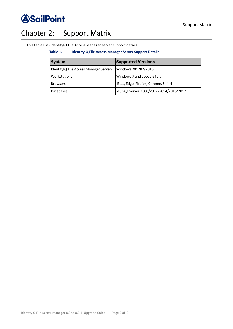

## <span id="page-6-0"></span>Chapter 2: Support Matrix

<span id="page-6-1"></span>This table lists IdentityIQ File Access Manager server support details.

#### **Table 1. IdentityIQ File Access Manager Server Support Details**

| <b>System</b>                          | <b>Supported Versions</b>              |
|----------------------------------------|----------------------------------------|
| IdentityIQ File Access Manager Servers | Windows 2012R2/2016                    |
| Workstations                           | Windows 7 and above 64bit              |
| <b>Browsers</b>                        | IE 11, Edge, Firefox, Chrome, Safari   |
| <b>Databases</b>                       | MS SQL Server 2008/2012/2014/2016/2017 |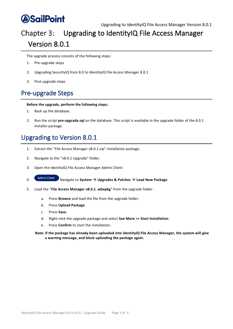### <span id="page-7-0"></span>Upgrading to IdentityIQ File Access Manager Chapter 3: Version 8.0.1

The upgrade process consists of the following steps:

- 1. Pre-upgrade steps
- 2. Upgrading SecurityIQ from 8.0 to IdentityIQ File Access Manager 8.0.1
- 3. Post upgrade steps

## <span id="page-7-1"></span>Pre-upgrade Steps

### **Before the upgrade, perform the following steps:**

- 1. Back up the database.
- 2. Run the script **pre-upgrade.sql** on the database. This script is available in the upgrade folder of the 8.0.1 installer package.

## <span id="page-7-2"></span>Upgrading to Version 8.0.1

- 1. Extract the "File Access Manager v8.0.1.zip" installation package.
- 2. Navigate to the "v8.0.1 Upgrade" folder.
- 3. Open the IdentityIQ File Access Manager Admin Client.
- 4. Navigate to **System** → **Upgrades & Patches** → **Load New Package**
- 5. Load the "**File Access Manager v8.0.1 .wbxpkg**" from the upgrade folder .
	- a. Press **Browse** and load the file from the upgrade folder.
	- b. Press **Upload Package**.
	- c. Press **Save**.
	- d. Right-click the upgrade package and select **See More >> Start Installation**.
	- e. Press **Confirm** to start the installation.

**Note: If the package has already been uploaded into IdentityIQ File Access Manager, the system will give a warning message, and block uploading the package again.**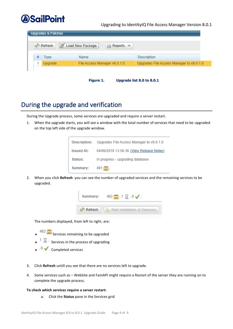### Upgrading to IdentityIQ File Access Manager Version 8.0.1

| <b>Upgrades &amp; Patches</b>                              |                                          |  |  |  |  |
|------------------------------------------------------------|------------------------------------------|--|--|--|--|
| Load New Package<br>्जे Refresh<br>$\equiv$ Reports $\sim$ |                                          |  |  |  |  |
| Name                                                       | Description                              |  |  |  |  |
| File Access Manager v8.0.1.0                               | Upgrades File Access Manager to v8.0.1.0 |  |  |  |  |
|                                                            |                                          |  |  |  |  |

| Figure 1. | Upgrade list 8.0 to 8.0.1 |  |
|-----------|---------------------------|--|
|-----------|---------------------------|--|

### <span id="page-8-1"></span><span id="page-8-0"></span>During the upgrade and verification

During the Upgrade process, some services are upgraded and require a server restart.

1. When the upgrade starts, you will see a window with the total number of services that need to be upgraded on the top left side of the upgrade window.

| Description:      | Upgrades File Access Manager to v8.0.1.0 |
|-------------------|------------------------------------------|
| <b>Issued At:</b> | 04/06/2019 13:58:36 (View Release Notes) |
| Status:           | In progress - upgrading database         |
| Summary:          | $491$ வ                                  |

2. When you click **Refresh** you can see the number of upgraded services and the remaining services to be upgraded.

| Summary:   | $482$ $\circ$ 1 $\times$ 8 $\bullet$ |
|------------|--------------------------------------|
| ⊌ी Refresh | Start Installation (0 Services)      |

The numbers displayed, from left to right, are:

- $\leftarrow$  482  $\boxed{\odot}$  Services remaining to be upgraded
- ↑  $\frac{1}{\sqrt{2}}$  Services in the process of upgrading
- ◆ <sup>8</sup> V Completed services
- 3. Click **Refresh** untill you see that there are no services left to upgrade.
- 4. Some services such as WebSite and FamAPI might require a Restart of the server they are running on to complete the upgrade process.

#### **To check which services require a server restart:**

a. Click the **Status** pane in the Services grid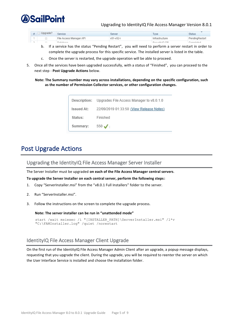

### Upgrading to IdentityIQ File Access Manager Version 8.0.1

| $\#$ Upgrade? | Service                 | Server    | Type           | <b>Status</b>  |
|---------------|-------------------------|-----------|----------------|----------------|
|               | File Access Manager API | v51-v52-i | Infrastructure | PendingRestart |
| $\Box$        | Database                |           | Contribuin DP  | Completed      |

- b. If a service has the status "Pending Restart", you will need to perform a server restart in order to complete the upgrade process for this specific service. The installed server is listed in the table.
- c. Once the server is restarted, the upgrade operation will be able to proceed.
- 5. Once all the services have been upgraded successfully, with a status of "Finished", you can proceed to the next step - **Post Upgrade Actions** below.

**Note: The Summary number may vary across installations, depending on the specific configuration, such as the number of Permission Collector services, or other configuration changes.** 

|            | Description: Upgrades File Access Manager to v8.0.1.0 |
|------------|-------------------------------------------------------|
| Issued At: | 22/09/2019 01:33:50 (View Release Notes)              |
| Status:    | Finished                                              |
| Summary:   | $550 \sqrt{ }$                                        |

### <span id="page-9-0"></span>Post Upgrade Actions

<span id="page-9-1"></span>Upgrading the IdentityIQ File Access Manager Server Installer

The Server Installer must be upgraded **on each of the File Access Manager central servers**.

**To upgrade the Server Installer on each central server, perform the following steps:**

- 1. Copy "ServerInstaller.msi" from the "v8.0.1 Full Installers" folder to the server.
- 2. Run "ServerInstaller.msi".
- 3. Follow the instructions on the screen to complete the upgrade process.

**Note: The server installer can be run in "unattended mode"**

```
start /wait msiexec /i "[INSTALLER PATH]\ServerInstaller.msi" /l*v
"C:\FAMInstaller.log" /quiet /norestart
```
### <span id="page-9-2"></span>IdentityIQ File Access Manager Client Upgrade

On the first run of the IdentityIQ File Access Manager Admin Client after an upgrade, a popup message displays, requesting that you upgrade the client. During the upgrade, you will be required to reenter the server on which the User Interface Service is installed and choose the installation folder.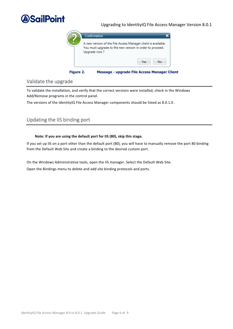

### Upgrading to IdentityIQ File Access Manager Version 8.0.1



#### **Figure 2. Message - upgrade File Access Manager Client**

### <span id="page-10-2"></span><span id="page-10-0"></span>Validate the upgrade

To validate the installation, and verify that the correct versions were installed, check in the Windows Add/Remove programs in the control panel.

The versions of the IdentityIQ File Access Manager components should be listed as 8.0.1.0.

### <span id="page-10-1"></span>Updating the IIS binding port

#### **Note: If you are using the default port for IIS (80), skip this stage.**

If you set up IIS on a port other than the default port (80), you will have to manually remove the port 80 binding from the Default Web Site and create a binding to the desired custom port.

On the Windows Administrative tools, open the IIS manager. Select the Default Web Site. Open the Bindings menu to delete and add site binding protocols and ports.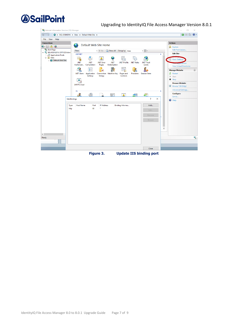

### Upgrading to IdentityIQ File Access Manager Version 8.0.1

| Internet Information Services (IIS) Manager                                                                                                      |                                                                                                                                                                                                                                                                                                                                                                                                                                                              | $\Box$<br>X                                                                                                                                                                                                                                                           |
|--------------------------------------------------------------------------------------------------------------------------------------------------|--------------------------------------------------------------------------------------------------------------------------------------------------------------------------------------------------------------------------------------------------------------------------------------------------------------------------------------------------------------------------------------------------------------------------------------------------------------|-----------------------------------------------------------------------------------------------------------------------------------------------------------------------------------------------------------------------------------------------------------------------|
|                                                                                                                                                  | SIQ-JOSH2016 > Sites > Default Web Site                                                                                                                                                                                                                                                                                                                                                                                                                      | $\omega \otimes \mathbb{C}$                                                                                                                                                                                                                                           |
| Help<br>File View<br><b>Connections</b><br>$Q = 128$<br>Start Page<br>V G SIQ-JOSH2016 (OFFICE\Admi<br>Application Pools<br>$\vee$ $\circ$ Sites | Default Web Site Home<br>$ \frac{12}{32}$<br>Go - Show All   Group by: Area<br><b>Filter:</b><br><b>ASP.NET</b><br>×<br>$\wedge$<br>l≣n                                                                                                                                                                                                                                                                                                                      | <b>Actions</b><br>ρł<br>Explore<br><b>Edit Permissions</b><br><b>Edit Site</b>                                                                                                                                                                                        |
| Default Web Site                                                                                                                                 | $\begin{array}{c}\n\bigwedge\n\\404\n\end{array}$<br>.NET<br>.NET<br>.NET Error<br>.NET<br>.NET Profile<br>.NET Roles<br>.NET Trust<br>Authorizat Compilation<br>Globalization<br>Pages<br>Levels<br>⇇<br>ab<br>Application<br>Connection Machine Key<br>.NET Users<br>Providers<br><b>Session State</b><br>Pages and<br>Settings<br><b>Strings</b><br>Controls<br><b>SMTP E-mail</b><br><b>IIS</b><br>a<br>$\leftarrow$<br>$\sim$<br>Fo<br>1<br>$\triangle$ | g)<br><b>Basic Settings.</b><br><b><i><u>pplications</u></i></b><br><b>View Virtual Directories</b><br>$\odot$<br><b>Manage Website</b><br>Ż.<br>Restart<br>Þ<br>Start<br>ø<br>Stop<br><b>Browse Website</b><br>Browse *: 80 (http)<br>Advanced Settings<br>Configure |
| $\langle$<br>Ready                                                                                                                               | $\overline{?}$<br>$\times$<br><b>Site Bindings</b><br><b>Host Name</b><br>Port<br><b>IP Address</b><br>Binding Informa<br>Add<br><b>Type</b><br>80<br>http<br>Edit<br>Remove<br>Browse<br>$\checkmark$                                                                                                                                                                                                                                                       | Limits<br>Help<br>$\circledcirc$<br>$\mathbf{e}_{\mathbb{R}}$                                                                                                                                                                                                         |
|                                                                                                                                                  | Close                                                                                                                                                                                                                                                                                                                                                                                                                                                        |                                                                                                                                                                                                                                                                       |

<span id="page-11-0"></span>**Figure 3. Update IIS binding port**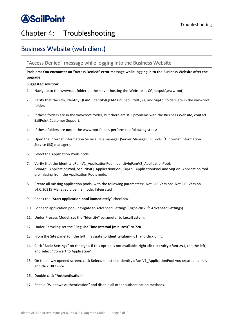## <span id="page-12-0"></span>Chapter 4: Troubleshooting

## <span id="page-12-1"></span>Business Website (web client)

### <span id="page-12-2"></span>"Access Denied" message while logging into the Business Website

**Problem: You encounter an "Access Denied" error message while logging in to the Business Website after the upgrade.**

### **Suggested solution:**

- 1. Navigate to the wwwroot folder on the server hosting the Website at C:\inetpub\wwwroot).
- 2. Verify that the cdn, IdentityIQFAM, IdentityIQFAMAPI, SecuirtyIQBiz, and SiqApi folders are in the wwwroot folder.
- 3. If these folders are in the wwwroot folder, but there are still problems with the Business Website, contact SailPoint Customer Support.
- 4. If these folders are **not** in the wwwroot folder, perform the following steps:
- 5. Open the Internet Information Service (IIS) manager (Server Manager  $\rightarrow$  Tools  $\rightarrow$  Internet Information Service (IIS) manager).
- 6. Select the Application Pools node.
- 7. Verify that the IdentityIqFamV1\_ApplicationPool, IdentityIqFamV2\_ApplicationPool, ScimApi\_ApplicationPool, SecurityIQ\_ApplicationPool, SigApi\_ApplicationPool and SigCdn\_ApplicationPool are missing from the Application Pools node.
- 8. Create all missing application pools, with the following parameters: .Net CLR Version: .Net CLR Version v4.0.30319 Managed pipeline mode: Integrated
- 9. Check the "**Start application pool immediately**" checkbox.
- 10. For each application pool, navigate to Advanced Settings (Right-click → **Advanced Settings**)
- 11. Under Process Model, set the "**Identity**" parameter to **LocalSystem**.
- 12. Under Recycling set the "**Regular Time Interval (minutes)**" to **720**.
- 13. From the Site panel (on the left), navigate to **identityiqfam->v1**, and click on it.
- 14. Click "**Basic Settings**" on the right. If this option is not available, right click **identityiqfam->v1**, (on the left) and select "Convert to Application".
- 15. On the newly opened screen, click **Select**, select the IdentityIqFamV1\_ApplicationPool you created earlier, and click **OK** twice.
- 16. Double click "**Authentication**".
- 17. Enable "Windows Authentication" and disable all other authentication methods.